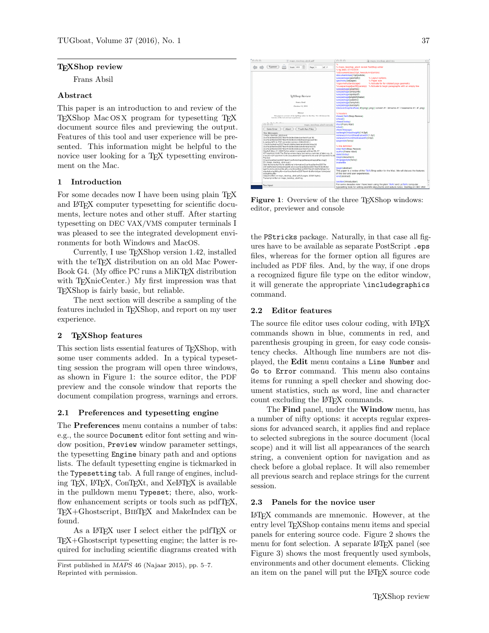# TEXShop review

Frans Absil

# Abstract

This paper is an introduction to and review of the TEXShop Mac OS X program for typesetting TEX document source files and previewing the output. Features of this tool and user experience will be presented. This information might be helpful to the novice user looking for a TEX typesetting environment on the Mac.

# 1 Introduction

For some decades now I have been using plain T<sub>EX</sub> and LATEX computer typesetting for scientific documents, lecture notes and other stuff. After starting typesetting on DEC VAX/VMS computer terminals I was pleased to see the integrated development environments for both Windows and MacOS.

Currently, I use TEXShop version 1.42, installed with the teTFX distribution on an old Mac Power-Book G4. (My office PC runs a MiKT<sub>EX</sub> distribution with T<sub>E</sub>XnicCenter.) My first impression was that TEXShop is fairly basic, but reliable.

The next section will describe a sampling of the features included in TEXShop, and report on my user experience.

# 2 TEXShop features

This section lists essential features of TEXShop, with some user comments added. In a typical typesetting session the program will open three windows, as shown in Figure 1: the source editor, the PDF preview and the console window that reports the document compilation progress, warnings and errors.

# 2.1 Preferences and typesetting engine

The Preferences menu contains a number of tabs: e.g., the source Document editor font setting and window position, Preview window parameter settings, the typesetting Engine binary path and and options lists. The default typesetting engine is tickmarked in the Typesetting tab. A full range of engines, including TEX, LATEX, ConTEXt, and XeLATEX is available in the pulldown menu Typeset; there, also, workflow enhancement scripts or tools such as pdfT<sub>F</sub>X, TEX+Ghostscript, BibTEX and MakeIndex can be found.

As a L<sup>AT</sup>FX user I select either the pdfTFX or TEX+Ghostscript typesetting engine; the latter is required for including scientific diagrams created with



Figure 1: Overview of the three TEXShop windows: editor, previewer and console

the PStricks package. Naturally, in that case all figures have to be available as separate PostScript .eps files, whereas for the former option all figures are included as PDF files. And, by the way, if one drops a recognized figure file type on the editor window, it will generate the appropriate \includegraphics command.

# 2.2 Editor features

The source file editor uses colour coding, with LATEX commands shown in blue, comments in red, and parenthesis grouping in green, for easy code consistency checks. Although line numbers are not displayed, the Edit menu contains a Line Number and Go to Error command. This menu also contains items for running a spell checker and showing document statistics, such as word, line and character count excluding the L<sup>AT</sup>EX commands.

The Find panel, under the Window menu, has a number of nifty options: it accepts regular expressions for advanced search, it applies find and replace to selected subregions in the source document (local scope) and it will list all appearances of the search string, a convenient option for navigation and as check before a global replace. It will also remember all previous search and replace strings for the current session.

# 2.3 Panels for the novice user

LATEX commands are mnemonic. However, at the entry level T<sub>E</sub>XShop contains menu items and special panels for entering source code. Figure 2 shows the menu for font selection. A separate LAT<sub>EX</sub> panel (see Figure 3) shows the most frequently used symbols, environments and other document elements. Clicking an item on the panel will put the LAT<sub>EX</sub> source code

First published in MAPS 46 (Najaar 2015), pp. 5–7. Reprinted with permission.